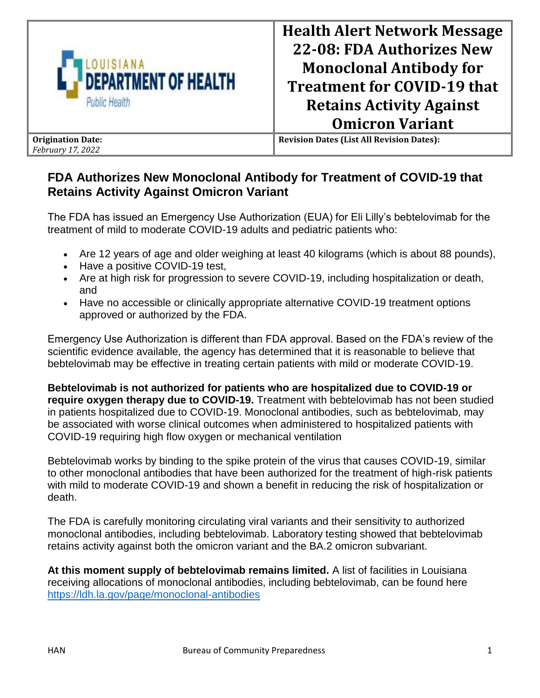

**Revision Dates (List All Revision Dates):**

## **FDA Authorizes New Monoclonal Antibody for Treatment of COVID-19 that Retains Activity Against Omicron Variant**

The FDA has issued an Emergency Use Authorization (EUA) for Eli Lilly's bebtelovimab for the treatment of mild to moderate COVID-19 adults and pediatric patients who:

- Are 12 years of age and older weighing at least 40 kilograms (which is about 88 pounds),
- Have a positive COVID-19 test,
- Are at high risk for progression to severe COVID-19, including hospitalization or death, and
- Have no accessible or clinically appropriate alternative COVID-19 treatment options approved or authorized by the FDA.

Emergency Use Authorization is different than FDA approval. Based on the FDA's review of the scientific evidence available, the agency has determined that it is reasonable to believe that bebtelovimab may be effective in treating certain patients with mild or moderate COVID-19.

**Bebtelovimab is not authorized for patients who are hospitalized due to COVID-19 or require oxygen therapy due to COVID-19.** Treatment with bebtelovimab has not been studied in patients hospitalized due to COVID-19. Monoclonal antibodies, such as bebtelovimab, may be associated with worse clinical outcomes when administered to hospitalized patients with COVID-19 requiring high flow oxygen or mechanical ventilation

Bebtelovimab works by binding to the spike protein of the virus that causes COVID-19, similar to other monoclonal antibodies that have been authorized for the treatment of high-risk patients with mild to moderate COVID-19 and shown a benefit in reducing the risk of hospitalization or death.

The FDA is carefully monitoring circulating viral variants and their sensitivity to authorized monoclonal antibodies, including bebtelovimab. Laboratory testing showed that bebtelovimab retains activity against both the omicron variant and the BA.2 omicron subvariant.

**At this moment supply of bebtelovimab remains limited.** A list of facilities in Louisiana receiving allocations of monoclonal antibodies, including bebtelovimab, can be found here <https://ldh.la.gov/page/monoclonal-antibodies>